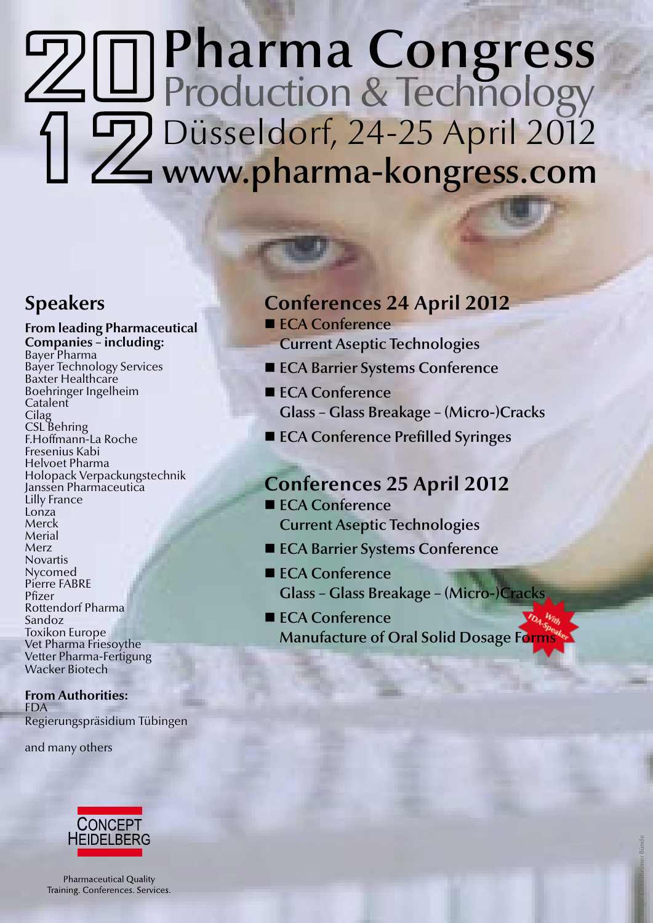# Pharma Congress Production & Technology g Düsseldorf, 24-25 April 2012 www.pharma-kongress.com

### **Speakers**

**From leading Pharmaceutical Companies – including:**<br>Bayer Pharma Bayer Technology Services Baxter Healthcare Boehringer Ingelheim **Catalent Cilag** CSL Behring F.Hoffmann-La Roche Fresenius Kabi Helvoet Pharma Holopack Verpackungstechnik Janssen Pharmaceutica Lilly France Lonza Merck Merial Merz Novartis Nycomed Pierre FABRE Pfizer Rottendorf Pharma Sandoz Toxikon Europe Vet Pharma Friesoythe Vetter Pharma-Fertigung Wacker Biotech

### **From Authorities:** FDA Regierungspräsidium Tübingen

and many others



Pharmaceutical Quality Training. Conferences. Services.

## **Conferences 24 April 2012**

- ECA Conference
- Current Aseptic Technologies
- **ECA Barrier Systems Conference**
- ECA Conference Glass – Glass Breakage – (Micro-)Cracks
- ECA Conference Prefilled Syringes

### **Conferences 25 April 2012**

- ECA Conference Current Aseptic Technologies
- ECA Barrier Systems Conference
- ECA Conference Glass – Glass Breakage – (Micro-)Cracks
- ECA Conference Manufacture of Oral Solid Dosage Forms

Image: Gerresheimer Bünde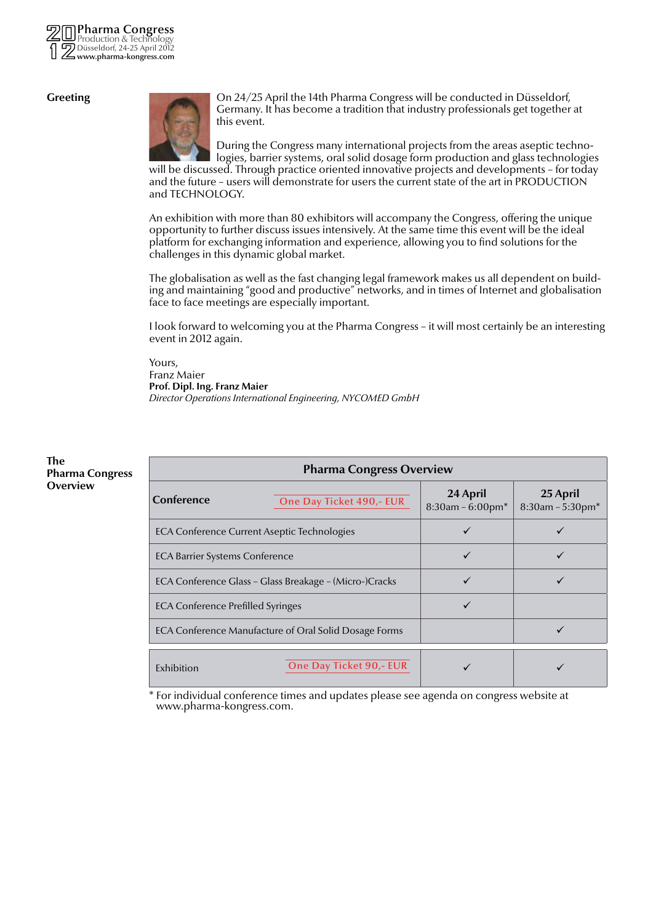

#### **Greeting**



On 24/25 April the 14th Pharma Congress will be conducted in Düsseldorf, Germany. It has become a tradition that industry professionals get together at this event.

During the Congress many international projects from the areas aseptic technologies, barrier systems, oral solid dosage form production and glass technologies

will be discussed. Through practice oriented innovative projects and developments – for today and the future – users will demonstrate for users the current state of the art in PRODUCTION and TECHNOLOGY.

An exhibition with more than 80 exhibitors will accompany the Congress, offering the unique opportunity to further discuss issues intensively. At the same time this event will be the ideal platform for exchanging information and experience, allowing you to find solutions for the challenges in this dynamic global market.

The globalisation as well as the fast changing legal framework makes us all dependent on building and maintaining "good and productive" networks, and in times of Internet and globalisation face to face meetings are especially important.

I look forward to welcoming you at the Pharma Congress – it will most certainly be an interesting event in 2012 again.

Yours, Franz Maier **Prof. Dipl. Ing. Franz Maier** *Director Operations International Engineering, NYCOMED GmbH*

| <b>Pharma Congress Overview</b>                        |                                       |                                    |  |  |
|--------------------------------------------------------|---------------------------------------|------------------------------------|--|--|
| Conference<br>One Day Ticket 490,- EUR                 | 24 April<br>$8:30$ am - $6:00$ pm $*$ | 25 April<br>$8:30$ am - 5:30pm $*$ |  |  |
| ECA Conference Current Aseptic Technologies            |                                       |                                    |  |  |
| <b>ECA Barrier Systems Conference</b>                  | ✓                                     |                                    |  |  |
| ECA Conference Glass - Glass Breakage - (Micro-)Cracks |                                       |                                    |  |  |
| <b>ECA Conference Prefilled Syringes</b>               |                                       |                                    |  |  |
| ECA Conference Manufacture of Oral Solid Dosage Forms  |                                       |                                    |  |  |
| One Day Ticket 90,- EUR<br>Exhibition                  |                                       |                                    |  |  |

\* For individual conference times and updates please see agenda on congress website at www.pharma-kongress.com.

#### **The Pharma Congress Overview**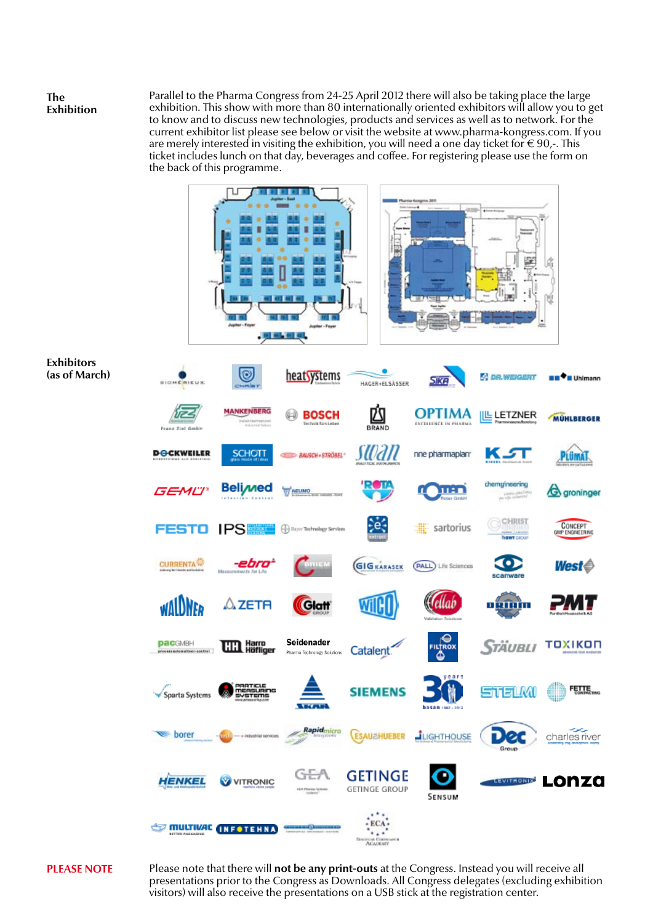#### **The Exhibition**

Parallel to the Pharma Congress from 24-25 April 2012 there will also be taking place the large exhibition. This show with more than 80 internationally oriented exhibitors will allow you to get to know and to discuss new technologies, products and services as well as to network. For the current exhibitor list please see below or visit the website at www.pharma-kongress.com. If you are merely interested in visiting the exhibition, you will need a one day ticket for  $\in 90$ . ticket includes lunch on that day, beverages and coffee. For registering please use the form on the back of this programme.





### **PLEASE NOTE**

Please note that there will **not be any print-outs** at the Congress. Instead you will receive all presentations prior to the Congress as Downloads. All Congress delegates (excluding exhibition visitors) will also receive the presentations on a USB stick at the registration center.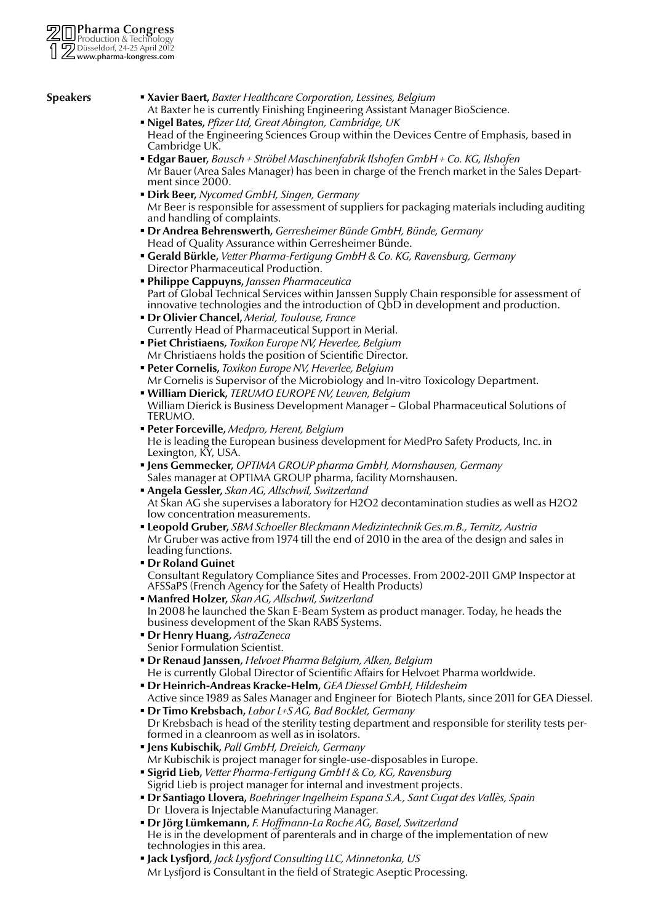- **Speakers Xavier Baert,** *Baxter Healthcare Corporation, Lessines, Belgium* At Baxter he is currently Finishing Engineering Assistant Manager BioScience.
	- **Nigel Bates,** *Pfizer Ltd, Great Abington, Cambridge, UK* Head of the Engineering Sciences Group within the Devices Centre of Emphasis, based in Cambridge UK.
	- **Edgar Bauer,** *Bausch + Ströbel Maschinenfabrik Ilshofen GmbH + Co. KG, Ilshofen* Mr Bauer (Area Sales Manager) has been in charge of the French market in the Sales Department since 2000.
	- **Dirk Beer,** *Nycomed GmbH, Singen, Germany* Mr Beer is responsible for assessment of suppliers for packaging materials including auditing and handling of complaints.
	- **Dr Andrea Behrenswerth,** *Gerresheimer Bünde GmbH, Bünde, Germany* Head of Quality Assurance within Gerresheimer Bünde.
	- **Gerald Bürkle,** *Vetter Pharma-Fertigung GmbH & Co. KG, Ravensburg, Germany* Director Pharmaceutical Production.
	- **Philippe Cappuyns,** *Janssen Pharmaceutica* Part of Global Technical Services within Janssen Supply Chain responsible for assessment of innovative technologies and the introduction of  $QbD'$  in development and production.
	- **Dr Olivier Chancel,** *Merial, Toulouse, France* Currently Head of Pharmaceutical Support in Merial.
	- **Piet Christiaens,** *Toxikon Europe NV, Heverlee, Belgium* Mr Christiaens holds the position of Scientific Director.
	- **Peter Cornelis,** *Toxikon Europe NV, Heverlee, Belgium* Mr Cornelis is Supervisor of the Microbiology and In-vitro Toxicology Department.
	- **William Dierick,** *TERUMO EUROPE NV, Leuven, Belgium* William Dierick is Business Development Manager – Global Pharmaceutical Solutions of TERUMO.
	- **Peter Forceville,** *Medpro, Herent, Belgium* He is leading the European business development for MedPro Safety Products, Inc. in Lexington, KY, USA.
	- **Jens Gemmecker,** *OPTIMA GROUP pharma GmbH, Mornshausen, Germany* Sales manager at OPTIMA GROUP pharma, facility Mornshausen.
	- **Angela Gessler,** *Skan AG, Allschwil, Switzerland* At Skan AG she supervises a laboratory for H2O2 decontamination studies as well as H2O2 low concentration measurements.
	- **Leopold Gruber,** *SBM Schoeller Bleckmann Medizintechnik Ges.m.B., Ternitz, Austria* Mr Gruber was active from 1974 till the end of 2010 in the area of the design and sales in leading functions.
	- **Dr Roland Guinet** Consultant Regulatory Compliance Sites and Processes. From 2002-2011 GMP Inspector at AFSSaPS (French Agency for the Safety of Health Products)
	- **Manfred Holzer,** *Skan AG, Allschwil, Switzerland* In 2008 he launched the Skan E-Beam System as product manager. Today, he heads the business development of the Skan RABS Systems.
	- **Dr Henry Huang,** *AstraZeneca* Senior Formulation Scientist.
	- **Dr Renaud Janssen,** *Helvoet Pharma Belgium, Alken, Belgium* He is currently Global Director of Scientific Affairs for Helvoet Pharma worldwide.
	- **Dr Heinrich-Andreas Kracke-Helm,** *GEA Diessel GmbH, Hildesheim* Active since 1989 as Sales Manager and Engineer for Biotech Plants, since 2011 for GEA Diessel.
	- **Dr Timo Krebsbach,** *Labor L+S AG, Bad Bocklet, Germany* Dr Krebsbach is head of the sterility testing department and responsible for sterility tests performed in a cleanroom as well as in isolators.
	- **Jens Kubischik,** *Pall GmbH, Dreieich, Germany* Mr Kubischik is project manager for single-use-disposables in Europe.
	- **Sigrid Lieb,** *Vetter Pharma-Fertigung GmbH & Co, KG, Ravensburg* Sigrid Lieb is project manager for internal and investment projects.
	- **Dr Santiago Llovera,** *Boehringer Ingelheim Espana S.A., Sant Cugat des Vallès, Spain* Dr Llovera is Injectable Manufacturing Manager.
	- **Dr Jörg Lümkemann,** *F. Hoffmann-La Roche AG, Basel, Switzerland* He is in the development of parenterals and in charge of the implementation of new technologies in this area.
	- **Jack Lysfjord,** *Jack Lysfjord Consulting LLC, Minnetonka, US* Mr Lysfjord is Consultant in the field of Strategic Aseptic Processing.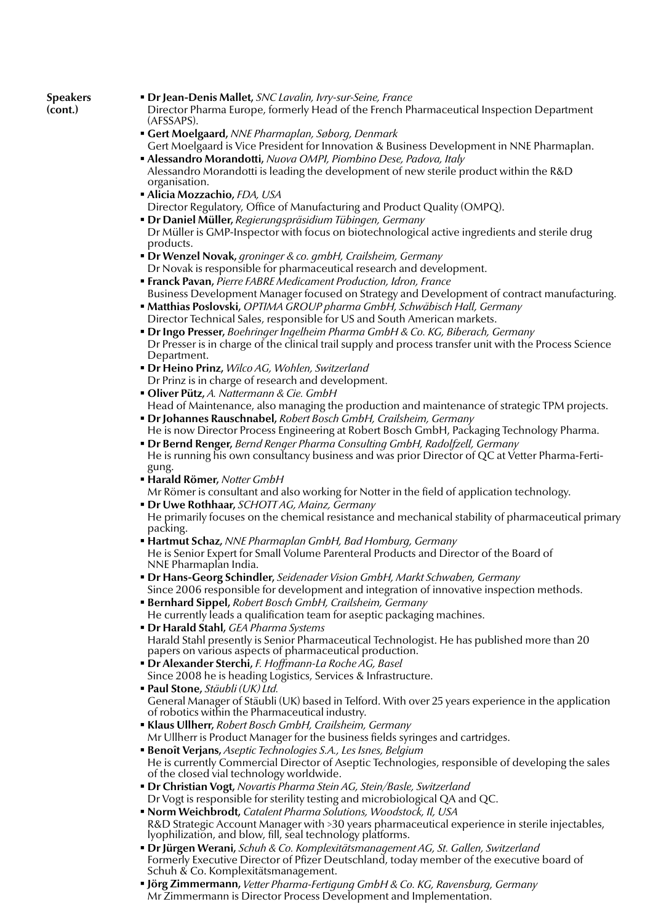**Speakers (cont.)**

- **Dr Jean-Denis Mallet,** *SNC Lavalin, Ivry-sur-Seine, France*
- Director Pharma Europe, formerly Head of the French Pharmaceutical Inspection Department (AFSSAPS).
- **Gert Moelgaard,** *NNE Pharmaplan, Søborg, Denmark* Gert Moelgaard is Vice President for Innovation & Business Development in NNE Pharmaplan.
- **Alessandro Morandotti,** *Nuova OMPI, Piombino Dese, Padova, Italy* Alessandro Morandotti is leading the development of new sterile product within the R&D organisation.
- **Alicia Mozzachio,** *FDA, USA*
- Director Regulatory, Office of Manufacturing and Product Quality (OMPQ).
- **Dr Daniel Müller,** *Regierungspräsidium Tübingen, Germany* Dr Müller is GMP-Inspector with focus on biotechnological active ingredients and sterile drug products.
- **Dr Wenzel Novak,** *groninger & co. gmbH, Crailsheim, Germany* Dr Novak is responsible for pharmaceutical research and development.
- **Franck Pavan,** *Pierre FABRE Medicament Production, Idron, France* Business Development Manager focused on Strategy and Development of contract manufacturing.
- **Matthias Poslovski,** *OPTIMA GROUP pharma GmbH, Schwäbisch Hall, Germany* Director Technical Sales, responsible for US and South American markets.
- **Dr Ingo Presser,** *Boehringer Ingelheim Pharma GmbH & Co. KG, Biberach, Germany* Dr Presser is in charge of the clinical trail supply and process transfer unit with the Process Science Department.
- **Dr Heino Prinz,** *Wilco AG, Wohlen, Switzerland* Dr Prinz is in charge of research and development.
- **Oliver Pütz,** *A. Nattermann & Cie. GmbH* Head of Maintenance, also managing the production and maintenance of strategic TPM projects.
- **Dr Johannes Rauschnabel,** *Robert Bosch GmbH, Crailsheim, Germany* He is now Director Process Engineering at Robert Bosch GmbH, Packaging Technology Pharma.
- **Dr Bernd Renger,** *Bernd Renger Pharma Consulting GmbH, Radolfzell, Germany* He is running his own consultancy business and was prior Director of QC at Vetter Pharma-Ferti- gung.
- **Harald Römer,** *Notter GmbH* Mr Römer is consultant and also working for Notter in the field of application technology.
- **Dr Uwe Rothhaar,** *SCHOTT AG, Mainz, Germany* He primarily focuses on the chemical resistance and mechanical stability of pharmaceutical primary packing.
- **Hartmut Schaz,** *NNE Pharmaplan GmbH, Bad Homburg, Germany* He is Senior Expert for Small Volume Parenteral Products and Director of the Board of NNE Pharmaplan India.
- **Dr Hans-Georg Schindler,** *Seidenader Vision GmbH, Markt Schwaben, Germany* Since 2006 responsible for development and integration of innovative inspection methods.
- **Bernhard Sippel,** *Robert Bosch GmbH, Crailsheim, Germany* He currently leads a qualification team for aseptic packaging machines.
- **Dr Harald Stahl,** *GEA Pharma Systems* Harald Stahl presently is Senior Pharmaceutical Technologist. He has published more than 20 papers on various aspects of pharmaceutical production.
- **Dr Alexander Sterchi,** *F. Hoffmann-La Roche AG, Basel* Since 2008 he is heading Logistics, Services & Infrastructure.
- **Paul Stone,** *Stäubli (UK) Ltd.* General Manager of Stäubli (UK) based in Telford. With over 25 years experience in the application of robotics within the Pharmaceutical industry.
- **Klaus Ullherr,** *Robert Bosch GmbH, Crailsheim, Germany* Mr Ullherr is Product Manager for the business fields syringes and cartridges.
- **Benoît Verjans,** *Aseptic Technologies S.A., Les Isnes, Belgium* He is currently Commercial Director of Aseptic Technologies, responsible of developing the sales of the closed vial technology worldwide.
- **Dr Christian Vogt,** *Novartis Pharma Stein AG, Stein/Basle, Switzerland*  Dr Vogt is responsible for sterility testing and microbiological QA and QC.
- **Norm Weichbrodt,** *Catalent Pharma Solutions, Woodstock, Il, USA* R&D Strategic Account Manager with >30 years pharmaceutical experience in sterile injectables, lyophilization, and blow, fill, seal technology platforms.
- **Dr Jürgen Werani,** *Schuh & Co. Komplexitätsmanagement AG, St. Gallen, Switzerland* Formerly Executive Director of Pfizer Deutschland, today member of the executive board of Schuh & Co. Komplexitätsmanagement.
- **Jörg Zimmermann,** *Vetter Pharma-Fertigung GmbH & Co. KG, Ravensburg, Germany* Mr Zimmermann is Director Process Development and Implementation.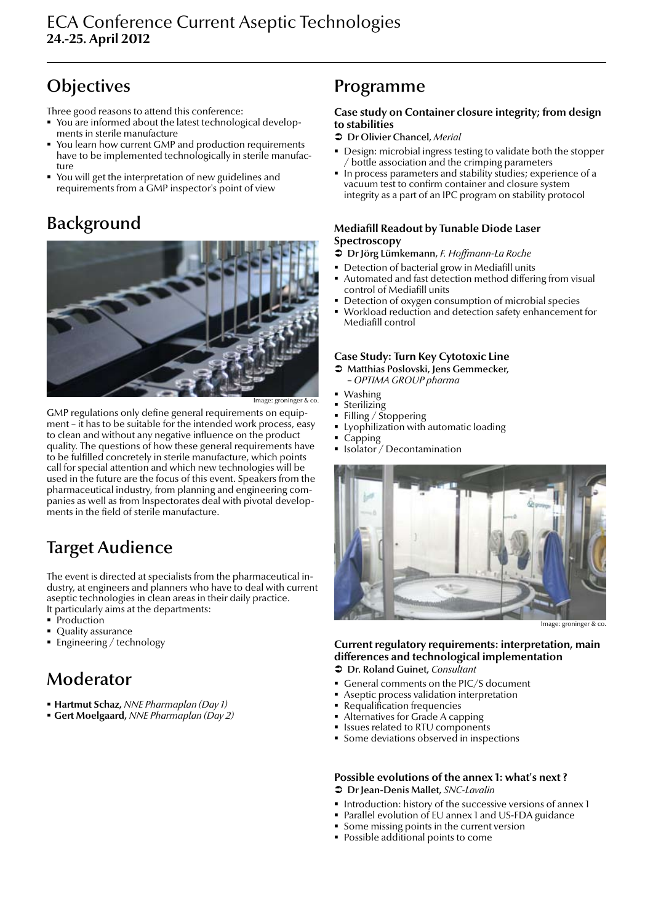Three good reasons to attend this conference:

- You are informed about the latest technological developments in sterile manufacture
- You learn how current GMP and production requirements have to be implemented technologically in sterile manufacture
- You will get the interpretation of new guidelines and requirements from a GMP inspector's point of view

### Background



nage: groninger & co.

GMP regulations only define general requirements on equipment – it has to be suitable for the intended work process, easy to clean and without any negative influence on the product quality. The questions of how these general requirements have to be fulfilled concretely in sterile manufacture, which points call for special attention and which new technologies will be used in the future are the focus of this event. Speakers from the pharmaceutical industry, from planning and engineering companies as well as from Inspectorates deal with pivotal developments in the field of sterile manufacture.

### Target Audience

The event is directed at specialists from the pharmaceutical industry, at engineers and planners who have to deal with current aseptic technologies in clean areas in their daily practice. It particularly aims at the departments:

- Production
- Quality assurance
- **Engineering / technology**

### Moderator

- **Hartmut Schaz,** *NNE Pharmaplan (Day 1)*
- **Gert Moelgaard,** *NNE Pharmaplan (Day 2)*

### Programme

#### **Case study on Container closure integrity; from design to stabilities**

- Â Dr Olivier Chancel, *Merial*
- Design: microbial ingress testing to validate both the stopper / bottle association and the crimping parameters
- In process parameters and stability studies; experience of a vacuum test to confirm container and closure system integrity as a part of an IPC program on stability protocol

### **Mediafill Readout by Tunable Diode Laser Spectroscopy**

- Â Dr Jörg Lümkemann, *F. Hoffmann-La Roche*
- **Detection of bacterial grow in Mediafill units**
- Automated and fast detection method differing from visual control of Mediafill units
- Detection of oxygen consumption of microbial species
- Workload reduction and detection safety enhancement for Mediafill control

#### **Case Study: Turn Key Cytotoxic Line**

- $\supset$  Matthias Poslovski, Jens Gemmecker,
- *OPTIMA GROUP pharma*
- Washing
- Sterilizing
- Filling / Stoppering
- Lyophilization with automatic loading
- Capping
- **Isolator** / Decontamination



Image: groninger & co.

### **Current regulatory requirements: interpretation, main differences and technological implementation**

- Â Dr. Roland Guinet, *Consultant*
- General comments on the PIC/S document
- Aseptic process validation interpretation
- Requalification frequencies
- Alternatives for Grade A capping
- **Issues related to RTU components**
- **Some deviations observed in inspections**

### **Possible evolutions of the annex 1: what's next ?**

- Â Dr Jean-Denis Mallet, *SNC-Lavalin*
- **Introduction: history of the successive versions of annex 1**
- Parallel evolution of EU annex 1 and US-FDA guidance
- **Some missing points in the current version**
- **Possible additional points to come**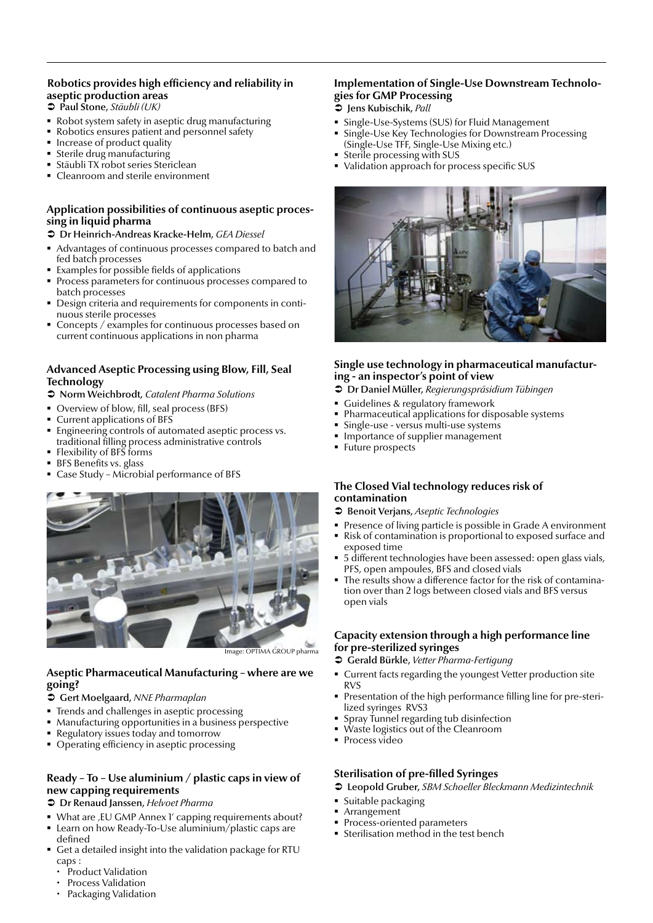### **Robotics provides high efficiency and reliability in aseptic production areas**

- Â Paul Stone, *Stäubli (UK)*
- Robot system safety in aseptic drug manufacturing
- Robotics ensures patient and personnel safety
- Increase of product quality
- Sterile drug manufacturing
- Stäubli TX robot series Stericlean
- Cleanroom and sterile environment

### **Application possibilities of continuous aseptic processing in liquid pharma**

#### Â Dr Heinrich-Andreas Kracke-Helm, *GEA Diessel*

- Advantages of continuous processes compared to batch and fed batch processes
- Examples for possible fields of applications
- Process parameters for continuous processes compared to batch processes
- Design criteria and requirements for components in continuous sterile processes
- Concepts / examples for continuous processes based on current continuous applications in non pharma

### **Advanced Aseptic Processing using Blow, Fill, Seal Technology**

#### Â Norm Weichbrodt, *Catalent Pharma Solutions*

- Overview of blow, fill, seal process (BFS)
- Current applications of BFS
- **Engineering controls of automated aseptic process vs.** traditional filling process administrative controls
- Flexibility of BFS forms
- **BFS Benefits vs. glass**
- Case Study Microbial performance of BFS



### **Aseptic Pharmaceutical Manufacturing – where are we going?**

#### Â Gert Moelgaard, *NNE Pharmaplan*

- **Trends and challenges in aseptic processing**
- Manufacturing opportunities in a business perspective
- Regulatory issues today and tomorrow
- Operating efficiency in aseptic processing

### **Ready – To – Use aluminium / plastic caps in view of new capping requirements**

#### Â Dr Renaud Janssen, *Helvoet Pharma*

- What are , EU GMP Annex 1' capping requirements about?
- Learn on how Ready-To-Use aluminium/plastic caps are defined
- Get a detailed insight into the validation package for RTU caps :
	- Product Validation
	- Process Validation
	- Packaging Validation

#### **Implementation of Single-Use Downstream Technologies for GMP Processing** Â Jens Kubischik, *Pall*

- 
- Single-Use-Systems (SUS) for Fluid Management Single-Use Key Technologies for Downstream Processing
- (Single-Use TFF, Single-Use Mixing etc.)
- Sterile processing with SUS
- Validation approach for process specific SUS



### **Single use technology in pharmaceutical manufacturing - an inspector's point of view**

- Â Dr Daniel Müller, *Regierungspräsidium Tübingen*
- **Guidelines & regulatory framework**
- **Pharmaceutical applications for disposable systems**
- Single-use versus multi-use systems
- **Importance of supplier management**
- **Future prospects**

### **The Closed Vial technology reduces risk of contamination**

- Â Benoit Verjans, *Aseptic Technologies*
- Presence of living particle is possible in Grade A environment
- Risk of contamination is proportional to exposed surface and exposed time
- 5 different technologies have been assessed: open glass vials, PFS, open ampoules, BFS and closed vials
- The results show a difference factor for the risk of contamination over than 2 logs between closed vials and BFS versus open vials

#### **Capacity extension through a high performance line for pre-sterilized syringes**

- Â Gerald Bürkle, *Vetter Pharma-Fertigung*
- Current facts regarding the youngest Vetter production site RVS
- Presentation of the high performance filling line for pre-sterilized syringes RVS3
- **Spray Tunnel regarding tub disinfection**
- Waste logistics out of the Cleanroom
- **Process video**

### **Sterilisation of pre-filled Syringes**

- Â Leopold Gruber, *SBM Schoeller Bleckmann Medizintechnik*
- **Suitable packaging**
- Arrangement
- Process-oriented parameters
- Sterilisation method in the test bench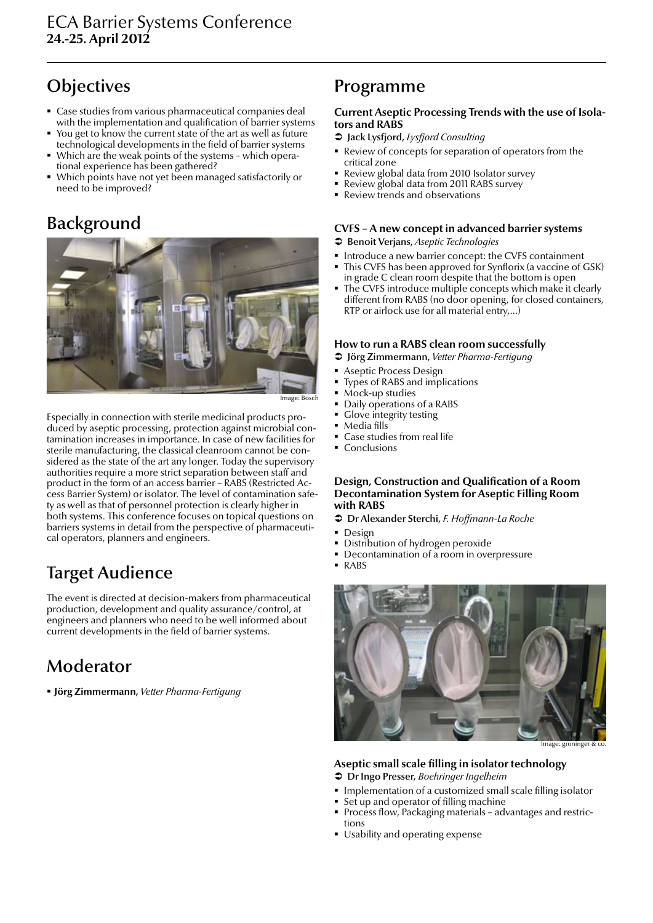- Case studies from various pharmaceutical companies deal with the implementation and qualification of barrier systems
- You get to know the current state of the art as well as future technological developments in the field of barrier systems
- Which are the weak points of the systems which operational experience has been gathered?
- Which points have not yet been managed satisfactorily or need to be improved?

### Background



Especially in connection with sterile medicinal products produced by aseptic processing, protection against microbial contamination increases in importance. In case of new facilities for sterile manufacturing, the classical cleanroom cannot be considered as the state of the art any longer. Today the supervisory authorities require a more strict separation between staff and product in the form of an access barrier – RABS (Restricted Access Barrier System) or isolator. The level of contamination safety as well as that of personnel protection is clearly higher in both systems. This conference focuses on topical questions on barriers systems in detail from the perspective of pharmaceutical operators, planners and engineers.

### Target Audience

The event is directed at decision-makers from pharmaceutical production, development and quality assurance/control, at engineers and planners who need to be well informed about current developments in the field of barrier systems.

### Moderator

**Jörg Zimmermann,** *Vetter Pharma-Fertigung*

### Programme

### **Current Aseptic Processing Trends with the use of Isolators and RABS**

- Â Jack Lysfjord, *Lysfjord Consulting*
- Review of concepts for separation of operators from the critical zone
- Review global data from 2010 Isolator survey
- Review global data from 2011 RABS survey
- Review trends and observations

### **CVFS – A new concept in advanced barrier systems**

- Â Benoit Verjans, *Aseptic Technologies*
- Introduce a new barrier concept: the CVFS containment
- This CVFS has been approved for Synflorix (a vaccine of GSK) in grade C clean room despite that the bottom is open
- The CVFS introduce multiple concepts which make it clearly different from RABS (no door opening, for closed containers, RTP or airlock use for all material entry,…)

### **How to run a RABS clean room successfully**

- Â Jörg Zimmermann, *Vetter Pharma-Fertigung*
- Aseptic Process Design
- Types of RABS and implications
- $\blacksquare$  Mock-up studies
- Daily operations of a RABS
- Glove integrity testing
- **Media fills**
- Case studies from real life
- Conclusions

#### **Design, Construction and Qualification of a Room Decontamination System for Aseptic Filling Room with RABS**

- Â Dr Alexander Sterchi, *F. Hoffmann-La Roche*
- **Design**<br>Distrib
- Distribution of hydrogen peroxide
- Decontamination of a room in overpressure
- RABS



### **Aseptic small scale filling in isolator technology**

- Â Dr Ingo Presser, *Boehringer Ingelheim*
- **Implementation of a customized small scale filling isolator**
- Set up and operator of filling machine Process flow, Packaging materials – advantages and restric-
- tions Usability and operating expense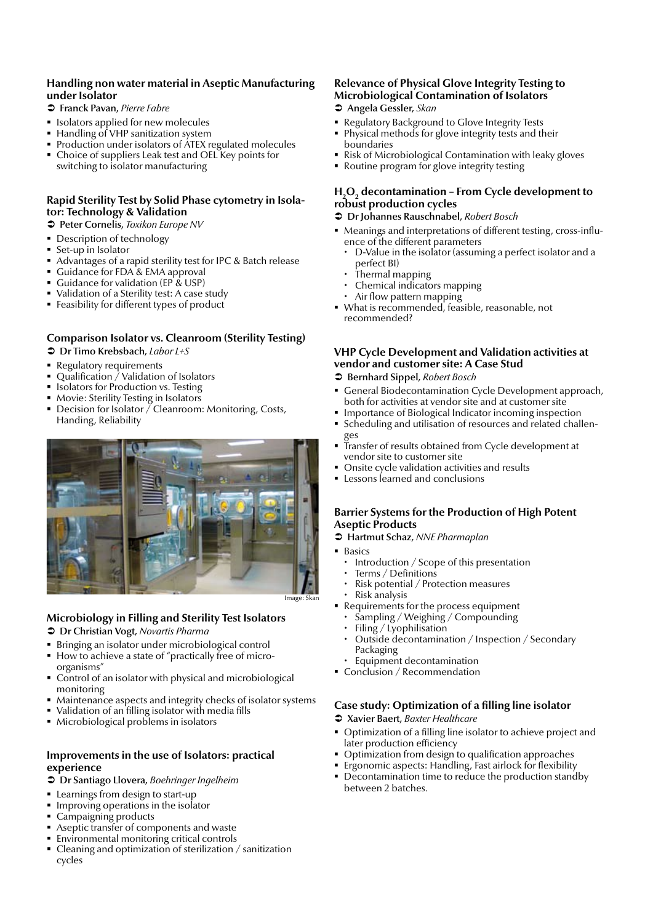### **Handling non water material in Aseptic Manufacturing under Isolator**

- Â Franck Pavan, *Pierre Fabre*
- **Isolators applied for new molecules**
- Handling of VHP sanitization system
- Production under isolators of ATEX regulated molecules
- Choice of suppliers Leak test and OEL Key points for switching to isolator manufacturing

### **Rapid Sterility Test by Solid Phase cytometry in Isolator: Technology & Validation**

Â Peter Cornelis, *Toxikon Europe NV*

- Description of technology
- Set-up in Isolator
- Advantages of a rapid sterility test for IPC & Batch release
- Guidance for FDA & EMA approval
- Guidance for validation (EP & USP)
- Validation of a Sterility test: A case study
- Feasibility for different types of product

#### **Comparison Isolator vs. Cleanroom (Sterility Testing)** Â Dr Timo Krebsbach, *Labor L+S*

- **Regulatory requirements**
- Qualification / Validation of Isolators
- Isolators for Production vs. Testing
- Movie: Sterility Testing in Isolators
- Decision for Isolator / Cleanroom: Monitoring, Costs, Handing, Reliability



### **Microbiology in Filling and Sterility Test Isolators**

- Â Dr Christian Vogt, *Novartis Pharma*
- Bringing an isolator under microbiological control<br>■ How to achieve a state of "practically free of micro
- How to achieve a state of "practically free of microorganisms"
- Control of an isolator with physical and microbiological monitoring
- Maintenance aspects and integrity checks of isolator systems
- Validation of an filling isolator with media fills
- Microbiological problems in isolators

### **Improvements in the use of Isolators: practical experience**

- Â Dr Santiago Llovera, *Boehringer Ingelheim*
- **Learnings from design to start-up**
- **IMPROPERE** Improving operations in the isolator
- Campaigning products
- Aseptic transfer of components and waste
- Environmental monitoring critical controls
- Cleaning and optimization of sterilization / sanitization cycles

#### **Relevance of Physical Glove Integrity Testing to Microbiological Contamination of Isolators** Â Angela Gessler, *Skan*

- 
- Regulatory Background to Glove Integrity Tests
- Physical methods for glove integrity tests and their boundaries
- Risk of Microbiological Contamination with leaky gloves
- Routine program for glove integrity testing

### **H**<sub>2</sub>O<sub>2</sub> decontamination - From Cycle development to **robust production cycles**

### Â Dr Johannes Rauschnabel, *Robert Bosch*

- Meanings and interpretations of different testing, cross-influence of the different parameters
	- D-Value in the isolator (assuming a perfect isolator and a perfect BI)
	- x Thermal mapping
	- Chemical indicators mapping
	- Air flow pattern mapping
- What is recommended, feasible, reasonable, not recommended?

### **VHP Cycle Development and Validation activities at vendor and customer site: A Case Stud**

- Â Bernhard Sippel, *Robert Bosch*
- General Biodecontamination Cycle Development approach, both for activities at vendor site and at customer site
- **Importance of Biological Indicator incoming inspection**
- Scheduling and utilisation of resources and related challenges
- Transfer of results obtained from Cycle development at vendor site to customer site
- Onsite cycle validation activities and results
- **Exercise Lessons learned and conclusions**

### **Barrier Systems for the Production of High Potent Aseptic Products**

- Â Hartmut Schaz, *NNE Pharmaplan*
- **Basics** 
	- Introduction / Scope of this presentation
	- Terms / Definitions
	- Risk potential / Protection measures
	- x Risk analysis
	- Requirements for the process equipment
	- $\cdot$  Sampling / Weighing / Compounding<br> $\cdot$  Filing / Lyophilisation
	- Filing / Lyophilisation
	- Outside decontamination / Inspection / Secondary Packaging
- Equipment decontamination
- Conclusion / Recommendation

### **Case study: Optimization of a filling line isolator**

- Â Xavier Baert, *Baxter Healthcare*
- Optimization of a filling line isolator to achieve project and later production efficiency
- $\bullet$  Optimization from design to qualification approaches
- **Example 1** Ergonomic aspects: Handling, Fast airlock for flexibility
- **•** Decontamination time to reduce the production standby between 2 batches.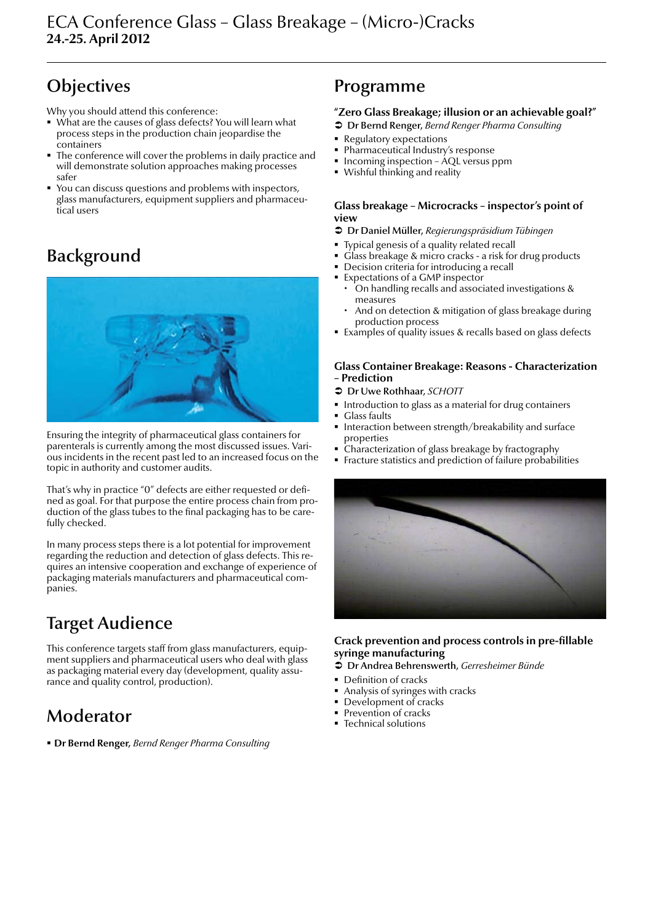Why you should attend this conference:

- What are the causes of glass defects? You will learn what process steps in the production chain jeopardise the containers
- The conference will cover the problems in daily practice and will demonstrate solution approaches making processes safer
- You can discuss questions and problems with inspectors, glass manufacturers, equipment suppliers and pharmaceutical users

### Background



Ensuring the integrity of pharmaceutical glass containers for parenterals is currently among the most discussed issues. Various incidents in the recent past led to an increased focus on the topic in authority and customer audits.

That's why in practice "0" defects are either requested or defined as goal. For that purpose the entire process chain from production of the glass tubes to the final packaging has to be carefully checked.

In many process steps there is a lot potential for improvement regarding the reduction and detection of glass defects. This requires an intensive cooperation and exchange of experience of packaging materials manufacturers and pharmaceutical companies.

### Target Audience

This conference targets staff from glass manufacturers, equipment suppliers and pharmaceutical users who deal with glass as packaging material every day (development, quality assurance and quality control, production).

### Moderator

**Dr Bernd Renger,** *Bernd Renger Pharma Consulting*

### Programme

### **"Zero Glass Breakage; illusion or an achievable goal?"**

- Â Dr Bernd Renger, *Bernd Renger Pharma Consulting*
- **Regulatory expectations**
- Pharmaceutical Industry's response
- Incoming inspection  $\overline{AQL}$  versus ppm
- Wishful thinking and reality

#### **Glass breakage – Microcracks – inspector's point of view**

- Â Dr Daniel Müller, *Regierungspräsidium Tübingen*
- Typical genesis of a quality related recall
- Glass breakage & micro cracks a risk for drug products
- Decision criteria for introducing a recall
- Expectations of a GMP inspector
- x On handling recalls and associated investigations & measures
- And on detection & mitigation of glass breakage during production process
- Examples of quality issues & recalls based on glass defects

#### **Glass Container Breakage: Reasons - Characterization – Prediction**

- Â Dr Uwe Rothhaar, *SCHOTT*
- **Introduction to glass as a material for drug containers**
- Glass faults
- Interaction between strength/breakability and surface properties
- Characterization of glass breakage by fractography
- Fracture statistics and prediction of failure probabilities



### **Crack prevention and process controls in pre-fillable syringe manufacturing**

- Â Dr Andrea Behrenswerth, *Gerresheimer Bünde*
- Definition of cracks
- Analysis of syringes with cracks
- Development of cracks
- Prevention of cracks
- **Technical solutions**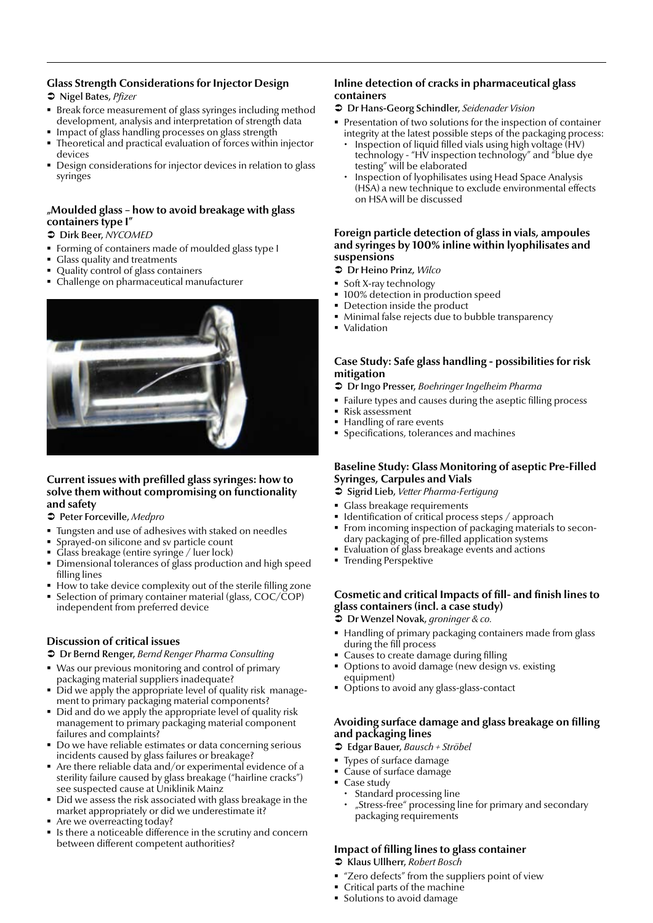### **Glass Strength Considerations for Injector Design**

- Â Nigel Bates, *Pfizer*
- Break force measurement of glass syringes including method development, analysis and interpretation of strength data
- Impact of glass handling processes on glass strength Theoretical and practical evaluation of forces within injector
- devices
- Design considerations for injector devices in relation to glass syringes

### **"Moulded glass – how to avoid breakage with glass containers type I"**

#### Â Dirk Beer, *NYCOMED*

- **Forming of containers made of moulded glass type I**
- Glass quality and treatments
- Quality control of glass containers
- Challenge on pharmaceutical manufacturer



#### **Current issues with prefilled glass syringes: how to solve them without compromising on functionality and safety**

#### Â Peter Forceville, *Medpro*

- Tungsten and use of adhesives with staked on needles
- Sprayed-on silicone and sv particle count
- Glass breakage (entire syringe / luer lock)
- Dimensional tolerances of glass production and high speed filling lines
- How to take device complexity out of the sterile filling zone
- Selection of primary container material (glass, COC/COP) independent from preferred device

### **Discussion of critical issues**

- Â Dr Bernd Renger, *Bernd Renger Pharma Consulting*
- Was our previous monitoring and control of primary packaging material suppliers inadequate?
- Did we apply the appropriate level of quality risk management to primary packaging material components?
- Did and do we apply the appropriate level of quality risk management to primary packaging material component failures and complaints?
- Do we have reliable estimates or data concerning serious incidents caused by glass failures or breakage?
- Are there reliable data and/or experimental evidence of a sterility failure caused by glass breakage ("hairline cracks") see suspected cause at Uniklinik Mainz
- Did we assess the risk associated with glass breakage in the market appropriately or did we underestimate it?
- Are we overreacting today?
- Is there a noticeable difference in the scrutiny and concern between different competent authorities?

### **Inline detection of cracks in pharmaceutical glass containers**

- Â Dr Hans-Georg Schindler, *Seidenader Vision*
- Presentation of two solutions for the inspection of container integrity at the latest possible steps of the packaging process:
- Inspection of liquid filled vials using high voltage (HV) technology - "HV inspection technology" and "blue dye testing" will be elaborated
- Inspection of lyophilisates using Head Space Analysis (HSA) a new technique to exclude environmental effects on HSA will be discussed

#### **Foreign particle detection of glass in vials, ampoules and syringes by 100% inline within lyophilisates and suspensions**

- Â Dr Heino Prinz, *Wilco*
- **Soft X-ray technology**
- 100% detection in production speed
- **Detection inside the product**
- Minimal false rejects due to bubble transparency
- **•** Validation

### **Case Study: Safe glass handling - possibilities for risk mitigation**

- Â Dr Ingo Presser, *Boehringer Ingelheim Pharma*
- Failure types and causes during the aseptic filling process
- Risk assessment
- Handling of rare events
- Specifications, tolerances and machines

### **Baseline Study: Glass Monitoring of aseptic Pre-Filled Syringes, Carpules and Vials**

- Â Sigrid Lieb, *Vetter Pharma-Fertigung*
- Glass breakage requirements
- Identification of critical process steps / approach
- **From incoming inspection of packaging materials to secon**dary packaging of pre-filled application systems
- Evaluation of glass breakage events and actions
- **Trending Perspektive**

### **Cosmetic and critical Impacts of fill- and finish lines to glass containers (incl. a case study)**

- Â Dr Wenzel Novak, *groninger & co.*
- Handling of primary packaging containers made from glass during the fill process
- Causes to create damage during filling
- Options to avoid damage (new design vs. existing equipment)
- Options to avoid any glass-glass-contact

### **Avoiding surface damage and glass breakage on filling and packaging lines**

- Â Edgar Bauer, *Bausch + Ströbel*
- **Types of surface damage**
- Cause of surface damage
- Case study
	- Standard processing line
	- "Stress-free" processing line for primary and secondary packaging requirements

### **Impact of filling lines to glass container**

- Â Klaus Ullherr, *Robert Bosch*
- "Zero defects" from the suppliers point of view
- Critical parts of the machine
- Solutions to avoid damage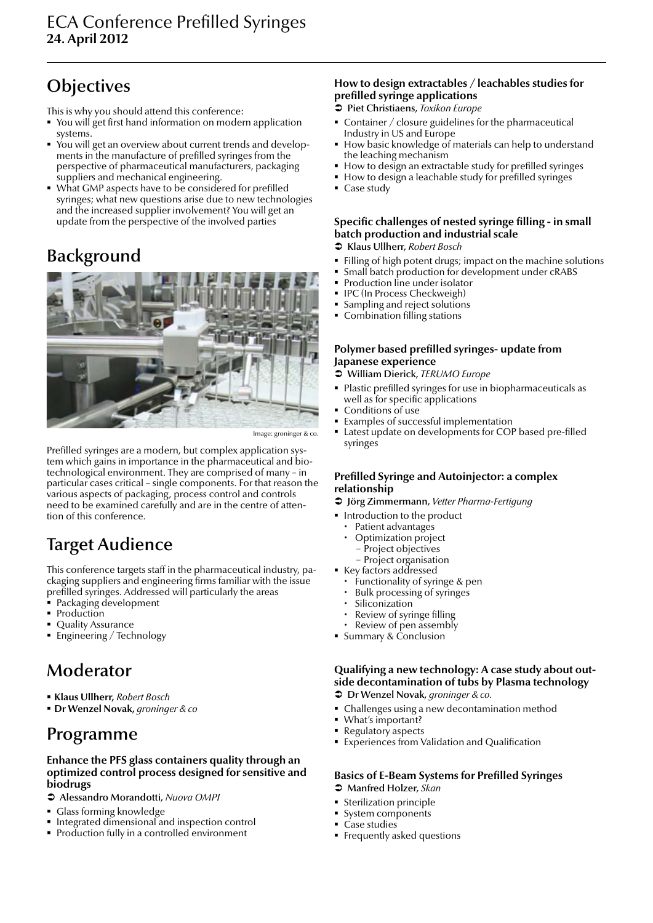This is why you should attend this conference:

- You will get first hand information on modern application systems.
- You will get an overview about current trends and developments in the manufacture of prefilled syringes from the perspective of pharmaceutical manufacturers, packaging suppliers and mechanical engineering.
- What GMP aspects have to be considered for prefilled syringes; what new questions arise due to new technologies and the increased supplier involvement? You will get an update from the perspective of the involved parties

### **Background**



Image: groninger & co.

Prefilled syringes are a modern, but complex application system which gains in importance in the pharmaceutical and biotechnological environment. They are comprised of many – in particular cases critical – single components. For that reason the various aspects of packaging, process control and controls need to be examined carefully and are in the centre of attention of this conference.

### Target Audience

This conference targets staff in the pharmaceutical industry, packaging suppliers and engineering firms familiar with the issue prefilled syringes. Addressed will particularly the areas

- Packaging development
- Production
- Quality Assurance
- Engineering / Technology

### Moderator

- **Klaus Ullherr,** *Robert Bosch*
- **Dr Wenzel Novak,** *groninger & co*

### Programme

#### **Enhance the PFS glass containers quality through an optimized control process designed for sensitive and biodrugs**

- Â Alessandro Morandotti, *Nuova OMPI*
- Glass forming knowledge
- Integrated dimensional and inspection control
- Production fully in a controlled environment

### **How to design extractables / leachables studies for prefilled syringe applications**

- Â Piet Christiaens, *Toxikon Europe*
- Container / closure guidelines for the pharmaceutical Industry in US and Europe
- How basic knowledge of materials can help to understand the leaching mechanism
- How to design an extractable study for prefilled syringes
- How to design a leachable study for prefilled syringes
- Case study

### **Specific challenges of nested syringe filling - in small batch production and industrial scale**

- Â Klaus Ullherr, *Robert Bosch*
- Filling of high potent drugs; impact on the machine solutions
- **Small batch production for development under cRABS**
- **Production line under isolator**
- **IPC (In Process Checkweigh)**
- Sampling and reject solutions
- **Combination filling stations**

### **Polymer based prefilled syringes- update from Japanese experience**

- Â William Dierick, *TERUMO Europe*
- Plastic prefilled syringes for use in biopharmaceuticals as well as for specific applications
- Conditions of use
- Examples of successful implementation
- Latest update on developments for COP based pre-filled syringes

### **Prefilled Syringe and Autoinjector: a complex relationship**

- Â Jörg Zimmermann, *Vetter Pharma-Fertigung*
- **Introduction to the product** 
	- Patient advantages
	- Optimization project − Project objectives
	- − Project organisation
- **Key factors addressed** 
	- Functionality of syringe & pen
	- Bulk processing of syringes
	- **Siliconization**
	- x Review of syringe filling
	- Review of pen assembly
- Summary & Conclusion

### **Qualifying a new technology: A case study about outside decontamination of tubs by Plasma technology**

- Â Dr Wenzel Novak, *groninger & co.*
- Challenges using a new decontamination method
- What's important?
- Regulatory aspects
- **Experiences from Validation and Qualification**

### **Basics of E-Beam Systems for Prefilled Syringes**

- Â Manfred Holzer, *Skan*
- Sterilization principle
- System components
- Case studies
- **Filter** Frequently asked questions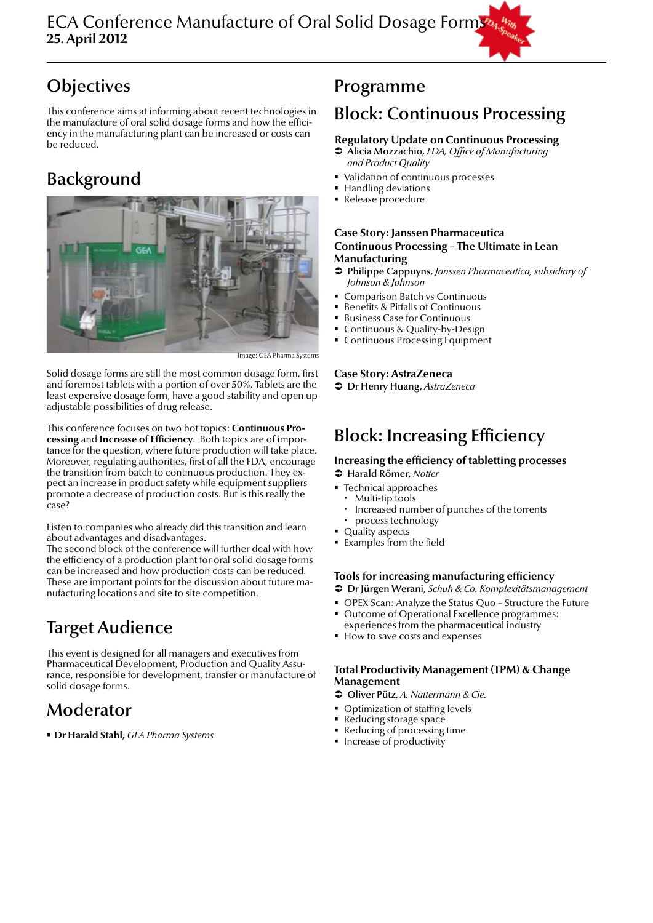This conference aims at informing about recent technologies in the manufacture of oral solid dosage forms and how the efficiency in the manufacturing plant can be increased or costs can be reduced.

### Background



Image: GEA Pharma System

Solid dosage forms are still the most common dosage form, first and foremost tablets with a portion of over 50%. Tablets are the least expensive dosage form, have a good stability and open up adjustable possibilities of drug release.

This conference focuses on two hot topics: **Continuous Processing** and **Increase of Efficiency**. Both topics are of importance for the question, where future production will take place. Moreover, regulating authorities, first of all the FDA, encourage the transition from batch to continuous production. They expect an increase in product safety while equipment suppliers promote a decrease of production costs. But is this really the case?

Listen to companies who already did this transition and learn about advantages and disadvantages.

The second block of the conference will further deal with how the efficiency of a production plant for oral solid dosage forms can be increased and how production costs can be reduced. These are important points for the discussion about future manufacturing locations and site to site competition.

### Target Audience

This event is designed for all managers and executives from Pharmaceutical Development, Production and Quality Assurance, responsible for development, transfer or manufacture of solid dosage forms.

### Moderator

**Dr Harald Stahl,** *GEA Pharma Systems*

### Programme

### Block: Continuous Processing

### **Regulatory Update on Continuous Processing**

- Â Alicia Mozzachio, *FDA, Office of Manufacturing and Product Quality*
- Validation of continuous processes
- Handling deviations
- **Release** procedure

### **Case Story: Janssen Pharmaceutica Continuous Processing – The Ultimate in Lean Manufacturing**

- Â Philippe Cappuyns, *Janssen Pharmaceutica, subsidiary of Johnson & Johnson*
- Comparison Batch vs Continuous
- Benefits & Pitfalls of Continuous
- **Business Case for Continuous**
- Continuous & Quality-by-Design
- Continuous Processing Equipment

### **Case Story: AstraZeneca**

Â Dr Henry Huang, *AstraZeneca*

### Block: Increasing Efficiency

#### **Increasing the efficiency of tabletting processes** Â Harald Römer, *Notter*

- Technical approaches
	- Multi-tip tools
	- x Increased number of punches of the torrents
	- process technology
- Quality aspects **Examples from the field**
- 

### **Tools for increasing manufacturing efficiency**

- Â Dr Jürgen Werani, *Schuh & Co. Komplexitätsmanagement*
- OPEX Scan: Analyze the Status Quo Structure the Future
- Outcome of Operational Excellence programmes: experiences from the pharmaceutical industry
- How to save costs and expenses

#### **Total Productivity Management (TPM) & Change Management**

Â Oliver Pütz, *A. Nattermann & Cie.*

- Optimization of staffing levels
- Reducing storage space
- Reducing of processing time
- **Increase of productivity**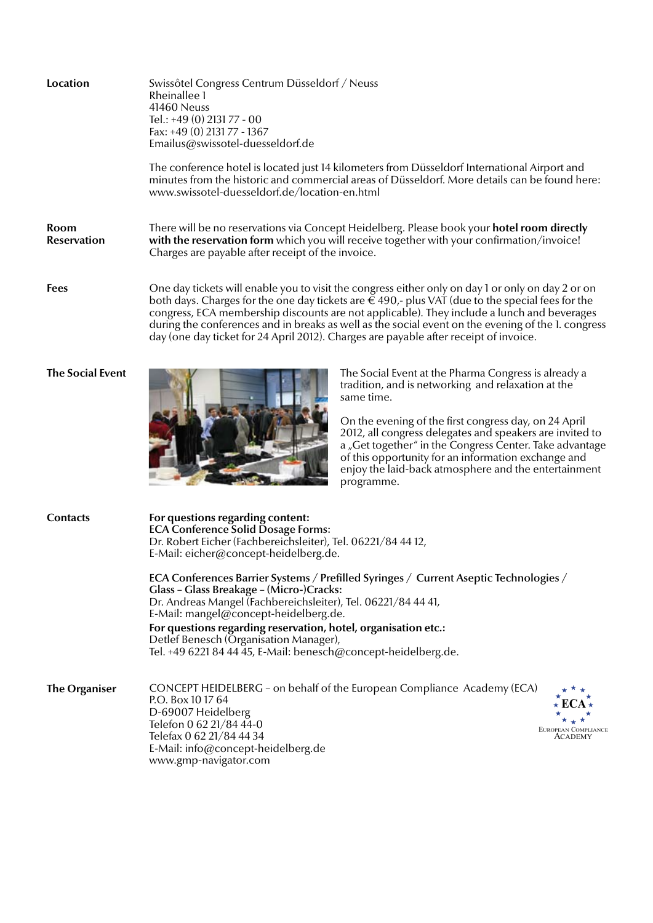| Location                   | Swissôtel Congress Centrum Düsseldorf / Neuss<br>Rheinallee 1<br>41460 Neuss<br>Tel.: +49 (0) 2131 77 - 00<br>Fax: +49 (0) 2131 77 - 1367<br>Emailus@swissotel-duesseldorf.de<br>The conference hotel is located just 14 kilometers from Düsseldorf International Airport and                                                                                                                                                                                                                                                                                                                                       |  |  |  |
|----------------------------|---------------------------------------------------------------------------------------------------------------------------------------------------------------------------------------------------------------------------------------------------------------------------------------------------------------------------------------------------------------------------------------------------------------------------------------------------------------------------------------------------------------------------------------------------------------------------------------------------------------------|--|--|--|
|                            | minutes from the historic and commercial areas of Düsseldorf. More details can be found here:<br>www.swissotel-duesseldorf.de/location-en.html                                                                                                                                                                                                                                                                                                                                                                                                                                                                      |  |  |  |
| Room<br><b>Reservation</b> | There will be no reservations via Concept Heidelberg. Please book your <b>hotel room directly</b><br>with the reservation form which you will receive together with your confirmation/invoice!<br>Charges are payable after receipt of the invoice.                                                                                                                                                                                                                                                                                                                                                                 |  |  |  |
| <b>Fees</b>                | One day tickets will enable you to visit the congress either only on day 1 or only on day 2 or on<br>both days. Charges for the one day tickets are $\epsilon \in 490$ ,- plus VAT (due to the special fees for the<br>congress, ECA membership discounts are not applicable). They include a lunch and beverages<br>during the conferences and in breaks as well as the social event on the evening of the 1. congress<br>day (one day ticket for 24 April 2012). Charges are payable after receipt of invoice.                                                                                                    |  |  |  |
| <b>The Social Event</b>    | The Social Event at the Pharma Congress is already a<br>tradition, and is networking and relaxation at the<br>same time.<br>On the evening of the first congress day, on 24 April<br>2012, all congress delegates and speakers are invited to<br>a "Get together" in the Congress Center. Take advantage<br>of this opportunity for an information exchange and<br>enjoy the laid-back atmosphere and the entertainment<br>programme.                                                                                                                                                                               |  |  |  |
| <b>Contacts</b>            | For questions regarding content:<br><b>ECA Conference Solid Dosage Forms:</b><br>Dr. Robert Eicher (Fachbereichsleiter), Tel. 06221/84 44 12,<br>E-Mail: eicher@concept-heidelberg.de.<br>ECA Conferences Barrier Systems / Prefilled Syringes / Current Aseptic Technologies /<br>Glass - Glass Breakage - (Micro-)Cracks:<br>Dr. Andreas Mangel (Fachbereichsleiter), Tel. 06221/84 44 41,<br>E-Mail: mangel@concept-heidelberg.de.<br>For questions regarding reservation, hotel, organisation etc.:<br>Detlef Benesch (Organisation Manager),<br>Tel. +49 6221 84 44 45, E-Mail: benesch@concept-heidelberg.de. |  |  |  |
| <b>The Organiser</b>       | CONCEPT HEIDELBERG - on behalf of the European Compliance Academy (ECA)<br>P.O. Box 10 17 64<br>D-69007 Heidelberg<br>Telefon 0 62 21/84 44-0<br>EUROPEAN COMPLIANCE<br>Telefax 0 62 21/84 44 34<br>ACADEMY<br>E-Mail: info@concept-heidelberg.de<br>www.gmp-navigator.com                                                                                                                                                                                                                                                                                                                                          |  |  |  |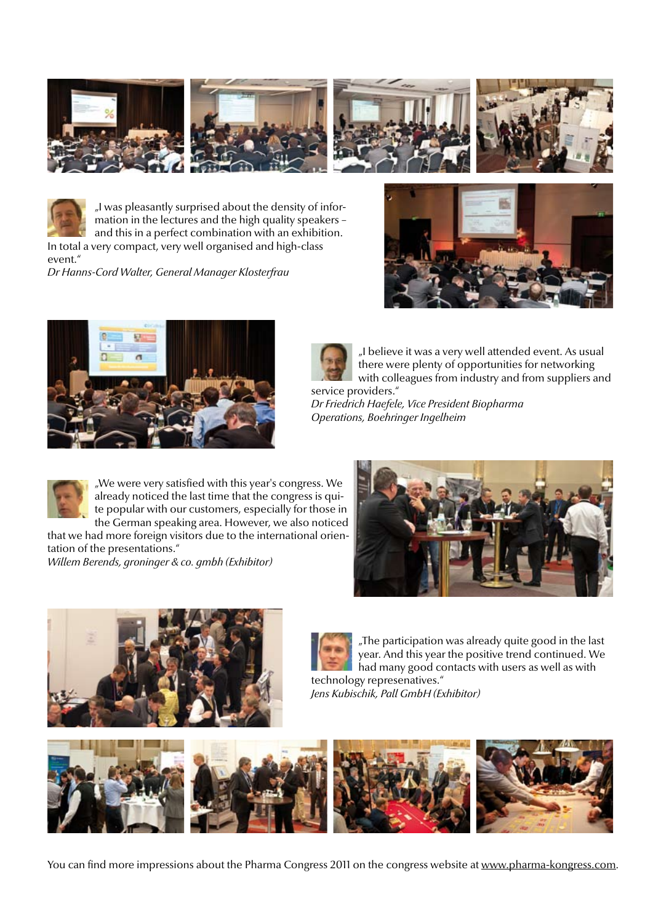



"I was pleasantly surprised about the density of information in the lectures and the high quality speakers – and this in a perfect combination with an exhibition.

In total a very compact, very well organised and high-class event."

*Dr Hanns-Cord Walter, General Manager Klosterfrau*







"I believe it was a very well attended event. As usual there were plenty of opportunities for networking with colleagues from industry and from suppliers and service providers."

*Dr Friedrich Haefele, Vice President Biopharma Operations, Boehringer Ingelheim*



"We were very satisfied with this year's congress. We already noticed the last time that the congress is quite popular with our customers, especially for those in the German speaking area. However, we also noticed

that we had more foreign visitors due to the international orientation of the presentations."

*Willem Berends, groninger & co. gmbh (Exhibitor)*





"The participation was already quite good in the last year. And this year the positive trend continued. We had many good contacts with users as well as with technology represenatives." *Jens Kubischik, Pall GmbH (Exhibitor)*



You can find more impressions about the Pharma Congress 2011 on the congress website at www.pharma-kongress.com.